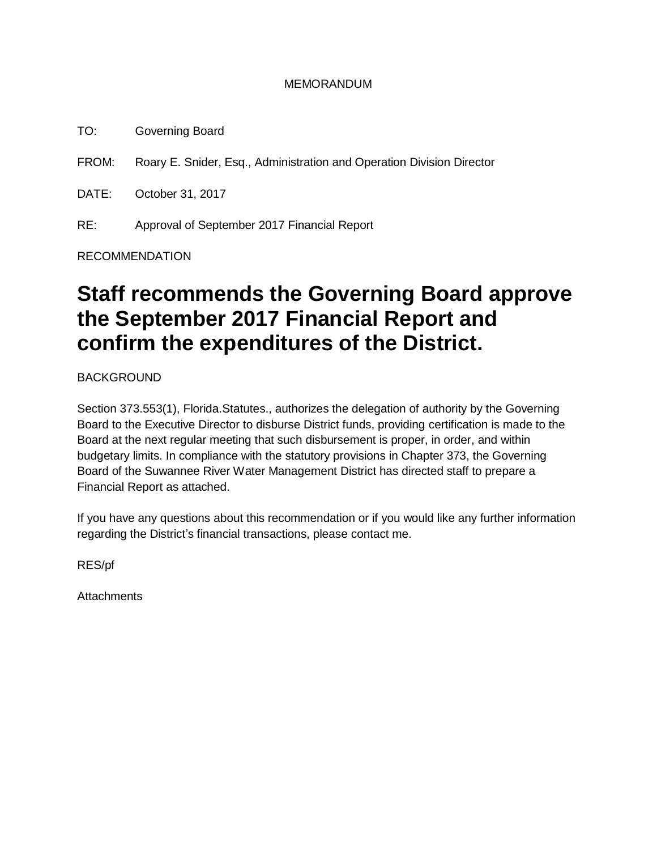#### MEMORANDUM

TO: Governing Board

FROM: Roary E. Snider, Esq., Administration and Operation Division Director

DATE: October 31, 2017

RE: Approval of September 2017 Financial Report

#### RECOMMENDATION

# **Staff recommends the Governing Board approve the September 2017 Financial Report and confirm the expenditures of the District.**

**BACKGROUND** 

Section 373.553(1), Florida.Statutes., authorizes the delegation of authority by the Governing Board to the Executive Director to disburse District funds, providing certification is made to the Board at the next regular meeting that such disbursement is proper, in order, and within budgetary limits. In compliance with the statutory provisions in Chapter 373, the Governing Board of the Suwannee River Water Management District has directed staff to prepare a Financial Report as attached.

If you have any questions about this recommendation or if you would like any further information regarding the District's financial transactions, please contact me.

RES/pf

**Attachments**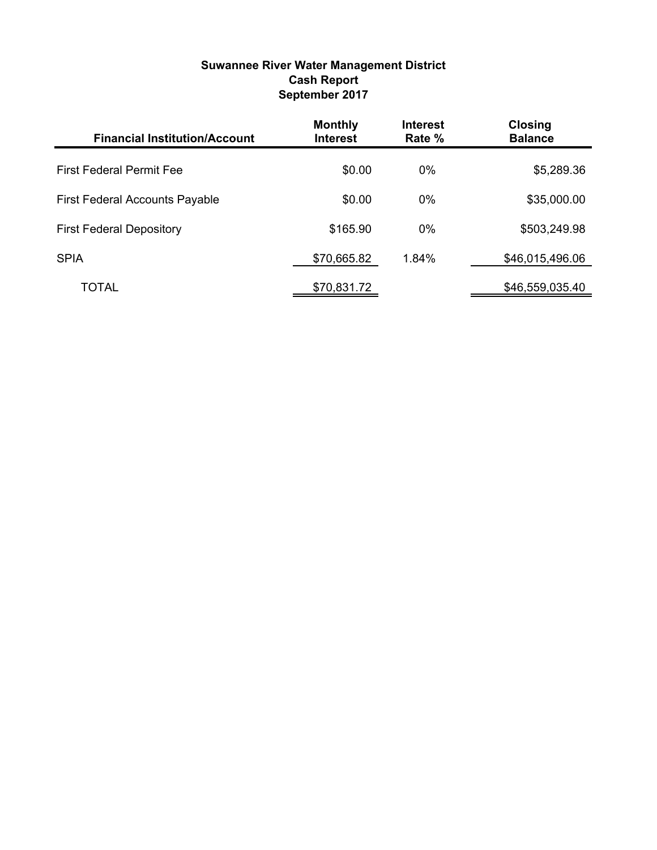#### **Suwannee River Water Management District Cash Report September 2017**

| <b>Financial Institution/Account</b>  | <b>Monthly</b><br><b>Interest</b> | <b>Interest</b><br>Rate % | <b>Closing</b><br><b>Balance</b> |
|---------------------------------------|-----------------------------------|---------------------------|----------------------------------|
| <b>First Federal Permit Fee</b>       | \$0.00                            | $0\%$                     | \$5,289.36                       |
| <b>First Federal Accounts Payable</b> | \$0.00                            | $0\%$                     | \$35,000.00                      |
| <b>First Federal Depository</b>       | \$165.90                          | $0\%$                     | \$503,249.98                     |
| <b>SPIA</b>                           | \$70,665.82                       | 1.84%                     | \$46,015,496.06                  |
| TOTAL                                 | \$70,831.72                       |                           | \$46,559,035.40                  |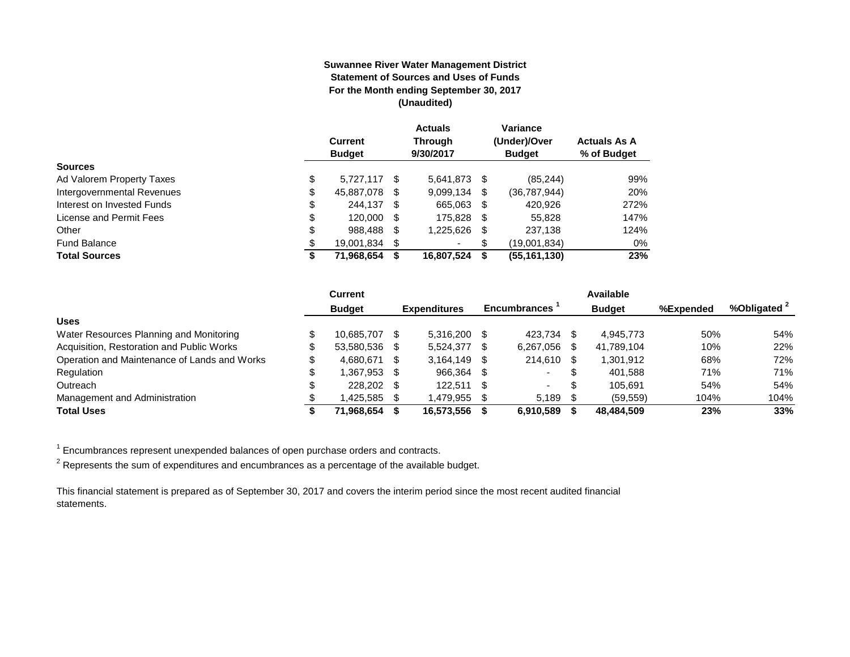#### **Suwannee River Water Management District Statement of Sources and Uses of Funds For the Month ending September 30, 2017 (Unaudited)**

|                            | <b>Current</b><br><b>Budget</b> |    | <b>Actuals</b><br><b>Through</b><br>9/30/2017 |   | Variance<br>(Under)/Over<br><b>Budget</b> | <b>Actuals As A</b><br>% of Budget |
|----------------------------|---------------------------------|----|-----------------------------------------------|---|-------------------------------------------|------------------------------------|
| <b>Sources</b>             |                                 |    |                                               |   |                                           |                                    |
| Ad Valorem Property Taxes  | \$<br>5.727.117 \$              |    | 5,641,873 \$                                  |   | (85, 244)                                 | 99%                                |
| Intergovernmental Revenues | \$<br>45,887,078                | S  | 9,099,134                                     | S | (36, 787, 944)                            | 20%                                |
| Interest on Invested Funds | \$<br>244.137 \$                |    | 665.063 \$                                    |   | 420.926                                   | 272%                               |
| License and Permit Fees    | \$<br>120,000 \$                |    | 175.828 \$                                    |   | 55,828                                    | 147%                               |
| Other                      | \$<br>988,488                   | S  | 1,225,626                                     | S | 237,138                                   | 124%                               |
| <b>Fund Balance</b>        | \$<br>19,001,834                | S. | ۰                                             | S | (19,001,834)                              | 0%                                 |
| <b>Total Sources</b>       | \$<br>71,968,654                |    | 16,807,524                                    | S | (55, 161, 130)                            | 23%                                |

|                                              | <b>Current</b> |      |                     |    |                     |      | Available     |           |                         |
|----------------------------------------------|----------------|------|---------------------|----|---------------------|------|---------------|-----------|-------------------------|
|                                              | <b>Budget</b>  |      | <b>Expenditures</b> |    | <b>Encumbrances</b> |      | <b>Budget</b> | %Expended | %Obligated <sup>2</sup> |
| <b>Uses</b>                                  |                |      |                     |    |                     |      |               |           |                         |
| Water Resources Planning and Monitoring      | 10.685.707     | -SS  | 5.316.200           |    | 423.734             |      | 4.945.773     | 50%       | 54%                     |
| Acquisition, Restoration and Public Works    | 53.580.536     | - \$ | 5.524.377           |    | 6,267,056           |      | 41,789,104    | 10%       | 22%                     |
| Operation and Maintenance of Lands and Works | 4.680.671      | - \$ | 3,164,149           |    | 214.610             | - \$ | 1,301,912     | 68%       | 72%                     |
| Regulation                                   | .367.953       | - \$ | 966.364             | -S |                     |      | 401.588       | 71%       | 71%                     |
| Outreach                                     | 228.202 \$     |      | 122.511             |    | $\sim$              | \$   | 105.691       | 54%       | 54%                     |
| Management and Administration                | .425.585       |      | 1,479,955           |    | 5.189               |      | (59, 559)     | 104%      | 104%                    |
| <b>Total Uses</b>                            | 71.968.654     |      | 16,573,556          |    | 6.910.589           |      | 48,484,509    | 23%       | 33%                     |

 $1$  Encumbrances represent unexpended balances of open purchase orders and contracts.

 $^2$  Represents the sum of expenditures and encumbrances as a percentage of the available budget.

This financial statement is prepared as of September 30, 2017 and covers the interim period since the most recent audited financial statements.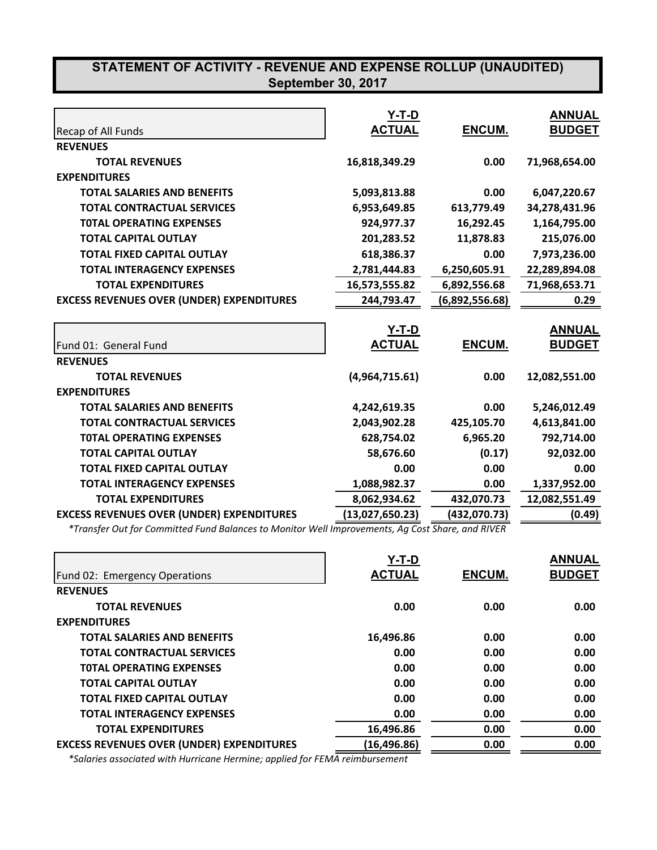|                                                  | <b>Y-T-D</b>    |                | <b>ANNUAL</b> |
|--------------------------------------------------|-----------------|----------------|---------------|
| Recap of All Funds                               | <b>ACTUAL</b>   | ENCUM.         | <b>BUDGET</b> |
| <b>REVENUES</b>                                  |                 |                |               |
| <b>TOTAL REVENUES</b>                            | 16,818,349.29   | 0.00           | 71,968,654.00 |
| <b>EXPENDITURES</b>                              |                 |                |               |
| <b>TOTAL SALARIES AND BENEFITS</b>               | 5,093,813.88    | 0.00           | 6,047,220.67  |
| <b>TOTAL CONTRACTUAL SERVICES</b>                | 6,953,649.85    | 613,779.49     | 34,278,431.96 |
| <b>TOTAL OPERATING EXPENSES</b>                  | 924,977.37      | 16,292.45      | 1,164,795.00  |
| <b>TOTAL CAPITAL OUTLAY</b>                      | 201,283.52      | 11,878.83      | 215,076.00    |
| <b>TOTAL FIXED CAPITAL OUTLAY</b>                | 618,386.37      | 0.00           | 7,973,236.00  |
| <b>TOTAL INTERAGENCY EXPENSES</b>                | 2,781,444.83    | 6,250,605.91   | 22,289,894.08 |
| <b>TOTAL EXPENDITURES</b>                        | 16,573,555.82   | 6,892,556.68   | 71,968,653.71 |
| <b>EXCESS REVENUES OVER (UNDER) EXPENDITURES</b> | 244,793.47      | (6,892,556.68) | 0.29          |
|                                                  |                 |                |               |
|                                                  | <b>Y-T-D</b>    |                | <b>ANNUAL</b> |
| Fund 01: General Fund                            | <b>ACTUAL</b>   | ENCUM.         | <b>BUDGET</b> |
| <b>REVENUES</b>                                  |                 |                |               |
| <b>TOTAL REVENUES</b>                            | (4,964,715.61)  | 0.00           | 12,082,551.00 |
| <b>EXPENDITURES</b>                              |                 |                |               |
| <b>TOTAL SALARIES AND BENEFITS</b>               | 4,242,619.35    | 0.00           | 5,246,012.49  |
| <b>TOTAL CONTRACTUAL SERVICES</b>                | 2,043,902.28    | 425,105.70     | 4,613,841.00  |
| <b>TOTAL OPERATING EXPENSES</b>                  | 628,754.02      | 6,965.20       | 792,714.00    |
| <b>TOTAL CAPITAL OUTLAY</b>                      | 58,676.60       | (0.17)         | 92,032.00     |
| <b>TOTAL FIXED CAPITAL OUTLAY</b>                | 0.00            | 0.00           | 0.00          |
| <b>TOTAL INTERAGENCY EXPENSES</b>                | 1,088,982.37    | 0.00           | 1,337,952.00  |
| <b>TOTAL EXPENDITURES</b>                        | 8,062,934.62    | 432,070.73     | 12,082,551.49 |
| <b>EXCESS REVENUES OVER (UNDER) EXPENDITURES</b> | (13,027,650.23) | (432,070.73)   | (0.49)        |

 *\*Transfer Out for Committed Fund Balances to Monitor Well Improvements, Ag Cost Share, and RIVER*

|                                                  | Y-T-D         |               | <b>ANNUAL</b> |
|--------------------------------------------------|---------------|---------------|---------------|
| Fund 02: Emergency Operations                    | <b>ACTUAL</b> | <b>ENCUM.</b> | <b>BUDGET</b> |
| <b>REVENUES</b>                                  |               |               |               |
| <b>TOTAL REVENUES</b>                            | 0.00          | 0.00          | 0.00          |
| <b>EXPENDITURES</b>                              |               |               |               |
| <b>TOTAL SALARIES AND BENEFITS</b>               | 16,496.86     | 0.00          | 0.00          |
| <b>TOTAL CONTRACTUAL SERVICES</b>                | 0.00          | 0.00          | 0.00          |
| <b>TOTAL OPERATING EXPENSES</b>                  | 0.00          | 0.00          | 0.00          |
| <b>TOTAL CAPITAL OUTLAY</b>                      | 0.00          | 0.00          | 0.00          |
| <b>TOTAL FIXED CAPITAL OUTLAY</b>                | 0.00          | 0.00          | 0.00          |
| <b>TOTAL INTERAGENCY EXPENSES</b>                | 0.00          | 0.00          | 0.00          |
| <b>TOTAL EXPENDITURES</b>                        | 16,496.86     | 0.00          | 0.00          |
| <b>EXCESS REVENUES OVER (UNDER) EXPENDITURES</b> | (16,496.86)   | 0.00          | 0.00          |

 *\*Salaries associated with Hurricane Hermine; applied for FEMA reimbursement*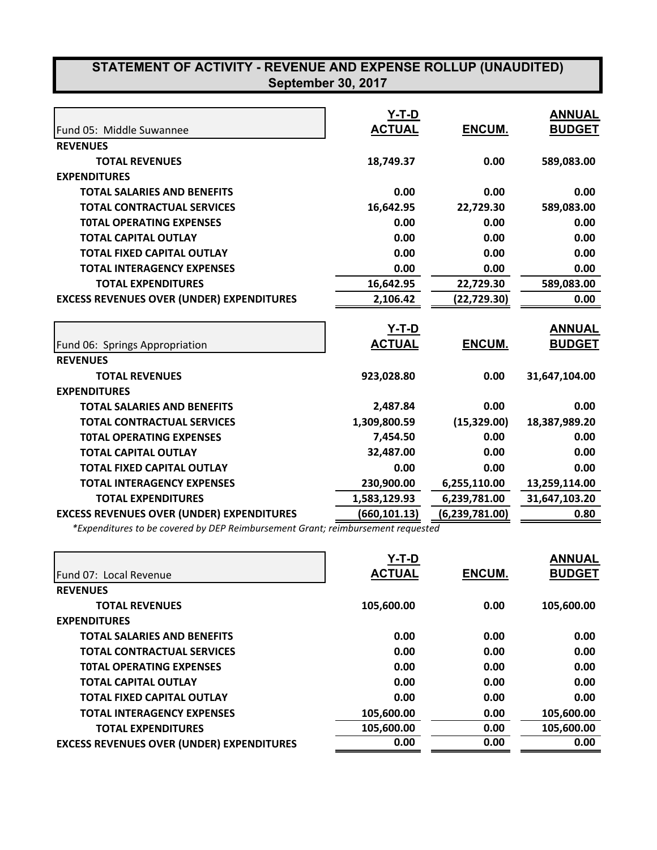| Fund 05: Middle Suwannee                         | Y-T-D<br><b>ACTUAL</b>        | ENCUM.         | <b>ANNUAL</b><br><b>BUDGET</b> |
|--------------------------------------------------|-------------------------------|----------------|--------------------------------|
| <b>REVENUES</b>                                  |                               |                |                                |
| <b>TOTAL REVENUES</b>                            | 18,749.37                     | 0.00           | 589,083.00                     |
| <b>EXPENDITURES</b>                              |                               |                |                                |
| <b>TOTAL SALARIES AND BENEFITS</b>               | 0.00                          | 0.00           | 0.00                           |
| <b>TOTAL CONTRACTUAL SERVICES</b>                | 16,642.95                     | 22,729.30      | 589,083.00                     |
| <b>TOTAL OPERATING EXPENSES</b>                  | 0.00                          | 0.00           | 0.00                           |
| <b>TOTAL CAPITAL OUTLAY</b>                      | 0.00                          | 0.00           | 0.00                           |
| <b>TOTAL FIXED CAPITAL OUTLAY</b>                | 0.00                          | 0.00           | 0.00                           |
| <b>TOTAL INTERAGENCY EXPENSES</b>                | 0.00                          | 0.00           | 0.00                           |
| <b>TOTAL EXPENDITURES</b>                        | 16,642.95                     | 22,729.30      | 589,083.00                     |
| <b>EXCESS REVENUES OVER (UNDER) EXPENDITURES</b> | 2,106.42                      | (22,729.30)    | 0.00                           |
| Fund 06: Springs Appropriation                   | <b>Y-T-D</b><br><b>ACTUAL</b> | ENCUM.         | <b>ANNUAL</b><br><b>BUDGET</b> |
| <b>REVENUES</b>                                  |                               |                |                                |
| <b>TOTAL REVENUES</b>                            | 923,028.80                    | 0.00           | 31,647,104.00                  |
| <b>EXPENDITURES</b>                              |                               |                |                                |
| <b>TOTAL SALARIES AND BENEFITS</b>               | 2,487.84                      | 0.00           | 0.00                           |
| <b>TOTAL CONTRACTUAL SERVICES</b>                | 1,309,800.59                  | (15, 329.00)   | 18,387,989.20                  |
| <b>TOTAL OPERATING EXPENSES</b>                  | 7,454.50                      | 0.00           | 0.00                           |
| <b>TOTAL CAPITAL OUTLAY</b>                      | 32,487.00                     | 0.00           | 0.00                           |
| <b>TOTAL FIXED CAPITAL OUTLAY</b>                | 0.00                          | 0.00           | 0.00                           |
| <b>TOTAL INTERAGENCY EXPENSES</b>                | 230,900.00                    | 6,255,110.00   | 13,259,114.00                  |
| <b>TOTAL EXPENDITURES</b>                        | 1,583,129.93                  | 6,239,781.00   | 31,647,103.20                  |
| <b>EXCESS REVENUES OVER (UNDER) EXPENDITURES</b> | (660,101.13)                  | (6,239,781.00) | 0.80                           |

*\*Expenditures to be covered by DEP Reimbursement Grant; reimbursement requested*

|                                                  | Y-T-D         |               | <b>ANNUAL</b> |
|--------------------------------------------------|---------------|---------------|---------------|
| Fund 07: Local Revenue                           | <b>ACTUAL</b> | <b>ENCUM.</b> | <b>BUDGET</b> |
| <b>REVENUES</b>                                  |               |               |               |
| <b>TOTAL REVENUES</b>                            | 105,600.00    | 0.00          | 105,600.00    |
| <b>EXPENDITURES</b>                              |               |               |               |
| <b>TOTAL SALARIES AND BENEFITS</b>               | 0.00          | 0.00          | 0.00          |
| <b>TOTAL CONTRACTUAL SERVICES</b>                | 0.00          | 0.00          | 0.00          |
| <b>TOTAL OPERATING EXPENSES</b>                  | 0.00          | 0.00          | 0.00          |
| <b>TOTAL CAPITAL OUTLAY</b>                      | 0.00          | 0.00          | 0.00          |
| <b>TOTAL FIXED CAPITAL OUTLAY</b>                | 0.00          | 0.00          | 0.00          |
| <b>TOTAL INTERAGENCY EXPENSES</b>                | 105,600.00    | 0.00          | 105,600.00    |
| <b>TOTAL EXPENDITURES</b>                        | 105,600.00    | 0.00          | 105,600.00    |
| <b>EXCESS REVENUES OVER (UNDER) EXPENDITURES</b> | 0.00          | 0.00          | 0.00          |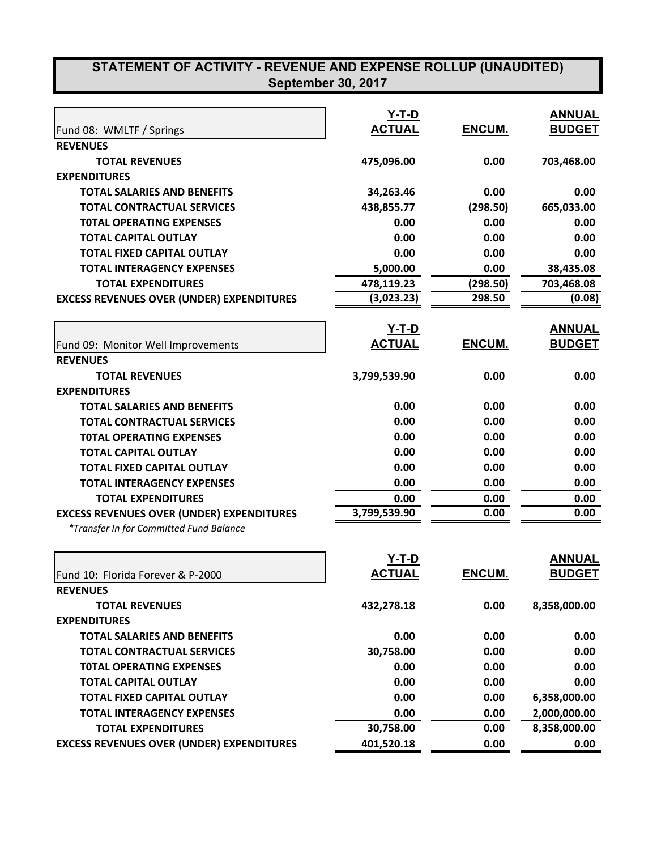|                                                  | <b>Y-T-D</b>  |               | <b>ANNUAL</b> |
|--------------------------------------------------|---------------|---------------|---------------|
| Fund 08: WMLTF / Springs                         | <b>ACTUAL</b> | ENCUM.        | <b>BUDGET</b> |
| <b>REVENUES</b>                                  |               |               |               |
| <b>TOTAL REVENUES</b>                            | 475,096.00    | 0.00          | 703,468.00    |
| <b>EXPENDITURES</b>                              |               |               |               |
| <b>TOTAL SALARIES AND BENEFITS</b>               | 34,263.46     | 0.00          | 0.00          |
| <b>TOTAL CONTRACTUAL SERVICES</b>                | 438,855.77    | (298.50)      | 665,033.00    |
| <b>TOTAL OPERATING EXPENSES</b>                  | 0.00          | 0.00          | 0.00          |
| <b>TOTAL CAPITAL OUTLAY</b>                      | 0.00          | 0.00          | 0.00          |
| <b>TOTAL FIXED CAPITAL OUTLAY</b>                | 0.00          | 0.00          | 0.00          |
| <b>TOTAL INTERAGENCY EXPENSES</b>                | 5,000.00      | 0.00          | 38,435.08     |
| <b>TOTAL EXPENDITURES</b>                        | 478,119.23    | (298.50)      | 703,468.08    |
| <b>EXCESS REVENUES OVER (UNDER) EXPENDITURES</b> | (3,023.23)    | 298.50        | (0.08)        |
|                                                  | <u>Y-T-D</u>  |               | <b>ANNUAL</b> |
| Fund 09: Monitor Well Improvements               | <b>ACTUAL</b> | ENCUM.        | <b>BUDGET</b> |
| <b>REVENUES</b>                                  |               |               |               |
| <b>TOTAL REVENUES</b>                            | 3,799,539.90  | 0.00          | 0.00          |
| <b>EXPENDITURES</b>                              |               |               |               |
| <b>TOTAL SALARIES AND BENEFITS</b>               | 0.00          | 0.00          | 0.00          |
| <b>TOTAL CONTRACTUAL SERVICES</b>                | 0.00          | 0.00          | 0.00          |
| <b>TOTAL OPERATING EXPENSES</b>                  | 0.00          | 0.00          | 0.00          |
| <b>TOTAL CAPITAL OUTLAY</b>                      | 0.00          | 0.00          | 0.00          |
| <b>TOTAL FIXED CAPITAL OUTLAY</b>                | 0.00          | 0.00          | 0.00          |
| <b>TOTAL INTERAGENCY EXPENSES</b>                | 0.00          | 0.00          | 0.00          |
| <b>TOTAL EXPENDITURES</b>                        | 0.00          | 0.00          | 0.00          |
| <b>EXCESS REVENUES OVER (UNDER) EXPENDITURES</b> | 3,799,539.90  | 0.00          | 0.00          |
| *Transfer In for Committed Fund Balance          |               |               |               |
|                                                  | Y-T-D         |               | <b>ANNUAL</b> |
| Fund 10: Florida Forever & P-2000                | <b>ACTUAL</b> | <b>ENCUM.</b> | <b>BUDGET</b> |
| <b>REVENUES</b>                                  |               |               |               |
| <b>TOTAL REVENUES</b>                            | 432,278.18    | 0.00          | 8,358,000.00  |
| <b>EXPENDITURES</b>                              |               |               |               |
| <b>TOTAL SALARIES AND BENEFITS</b>               | 0.00          | 0.00          | 0.00          |
| <b>TOTAL CONTRACTUAL SERVICES</b>                | 30,758.00     | 0.00          | 0.00          |
| <b>TOTAL OPERATING EXPENSES</b>                  | 0.00          | 0.00          | 0.00          |
| <b>TOTAL CAPITAL OUTLAY</b>                      | 0.00          | 0.00          | 0.00          |
| <b>TOTAL FIXED CAPITAL OUTLAY</b>                | 0.00          | 0.00          | 6,358,000.00  |
| <b>TOTAL INTERAGENCY EXPENSES</b>                | 0.00          | 0.00          | 2,000,000.00  |
| <b>TOTAL EXPENDITURES</b>                        | 30,758.00     | 0.00          | 8,358,000.00  |
| <b>EXCESS REVENUES OVER (UNDER) EXPENDITURES</b> | 401,520.18    | 0.00          | 0.00          |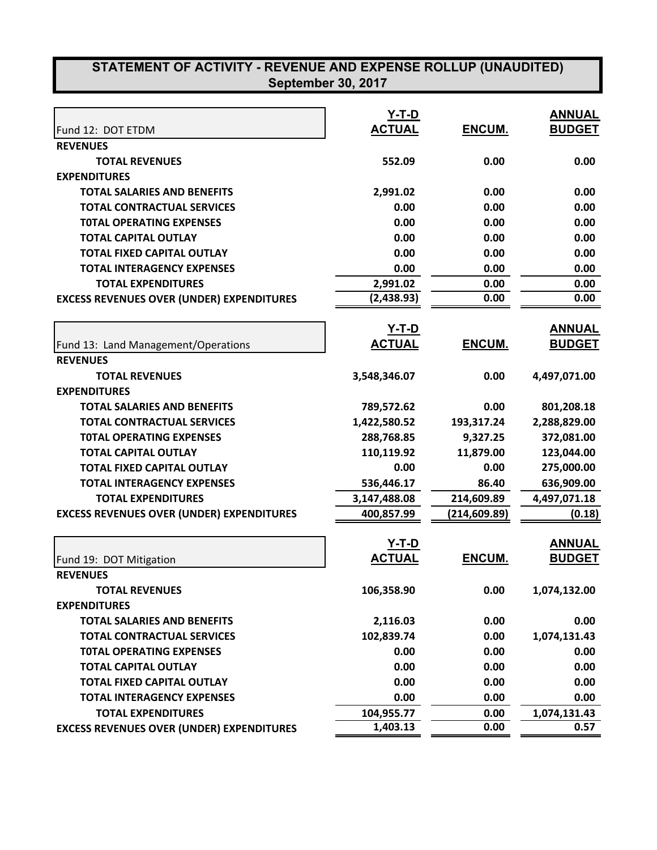|                                                  | Y-T-D                  |              | <b>ANNUAL</b>        |
|--------------------------------------------------|------------------------|--------------|----------------------|
| Fund 12: DOT ETDM                                | <b>ACTUAL</b>          | ENCUM.       | <b>BUDGET</b>        |
| <b>REVENUES</b>                                  |                        |              |                      |
| <b>TOTAL REVENUES</b>                            | 552.09                 | 0.00         | 0.00                 |
| <b>EXPENDITURES</b>                              |                        |              |                      |
| <b>TOTAL SALARIES AND BENEFITS</b>               | 2,991.02               | 0.00         | 0.00                 |
| <b>TOTAL CONTRACTUAL SERVICES</b>                | 0.00                   | 0.00         | 0.00                 |
| <b>TOTAL OPERATING EXPENSES</b>                  | 0.00                   | 0.00         | 0.00                 |
| <b>TOTAL CAPITAL OUTLAY</b>                      | 0.00                   | 0.00         | 0.00                 |
| <b>TOTAL FIXED CAPITAL OUTLAY</b>                | 0.00                   | 0.00         | 0.00                 |
| <b>TOTAL INTERAGENCY EXPENSES</b>                | 0.00                   | 0.00         | 0.00                 |
| <b>TOTAL EXPENDITURES</b>                        | 2,991.02               | 0.00         | 0.00                 |
| <b>EXCESS REVENUES OVER (UNDER) EXPENDITURES</b> | (2,438.93)             | 0.00         | 0.00                 |
|                                                  | <u>Y-T-D</u>           |              | <b>ANNUAL</b>        |
| Fund 13: Land Management/Operations              | <b>ACTUAL</b>          | ENCUM.       | <b>BUDGET</b>        |
| <b>REVENUES</b>                                  |                        |              |                      |
| <b>TOTAL REVENUES</b>                            | 3,548,346.07           | 0.00         | 4,497,071.00         |
| <b>EXPENDITURES</b>                              |                        |              |                      |
| <b>TOTAL SALARIES AND BENEFITS</b>               | 789,572.62             | 0.00         | 801,208.18           |
| <b>TOTAL CONTRACTUAL SERVICES</b>                | 1,422,580.52           | 193,317.24   | 2,288,829.00         |
| <b>TOTAL OPERATING EXPENSES</b>                  | 288,768.85             | 9,327.25     | 372,081.00           |
| <b>TOTAL CAPITAL OUTLAY</b>                      | 110,119.92             | 11,879.00    | 123,044.00           |
| <b>TOTAL FIXED CAPITAL OUTLAY</b>                | 0.00                   | 0.00         | 275,000.00           |
| <b>TOTAL INTERAGENCY EXPENSES</b>                | 536,446.17             | 86.40        | 636,909.00           |
| <b>TOTAL EXPENDITURES</b>                        | 3,147,488.08           | 214,609.89   | 4,497,071.18         |
| <b>EXCESS REVENUES OVER (UNDER) EXPENDITURES</b> | 400,857.99             | (214,609.89) | (0.18)               |
|                                                  | <u>Y-T-D</u>           |              | <b>ANNUAL</b>        |
| Fund 19: DOT Mitigation                          | <b>ACTUAL</b>          | ENCUM.       | <b>BUDGET</b>        |
| <b>REVENUES</b>                                  |                        |              |                      |
| <b>TOTAL REVENUES</b>                            | 106,358.90             | 0.00         | 1,074,132.00         |
| <b>EXPENDITURES</b>                              |                        |              |                      |
| <b>TOTAL SALARIES AND BENEFITS</b>               | 2,116.03               | 0.00         | 0.00                 |
| <b>TOTAL CONTRACTUAL SERVICES</b>                | 102,839.74             | 0.00         | 1,074,131.43         |
| <b>TOTAL OPERATING EXPENSES</b>                  | 0.00                   | 0.00         |                      |
| <b>TOTAL CAPITAL OUTLAY</b>                      | 0.00                   | 0.00         | 0.00<br>0.00         |
| <b>TOTAL FIXED CAPITAL OUTLAY</b>                |                        |              |                      |
|                                                  | 0.00                   | 0.00         | 0.00                 |
| <b>TOTAL INTERAGENCY EXPENSES</b>                | 0.00                   | 0.00         | 0.00                 |
| <b>TOTAL EXPENDITURES</b>                        | 104,955.77<br>1,403.13 | 0.00         | 1,074,131.43<br>0.57 |
| <b>EXCESS REVENUES OVER (UNDER) EXPENDITURES</b> |                        | 0.00         |                      |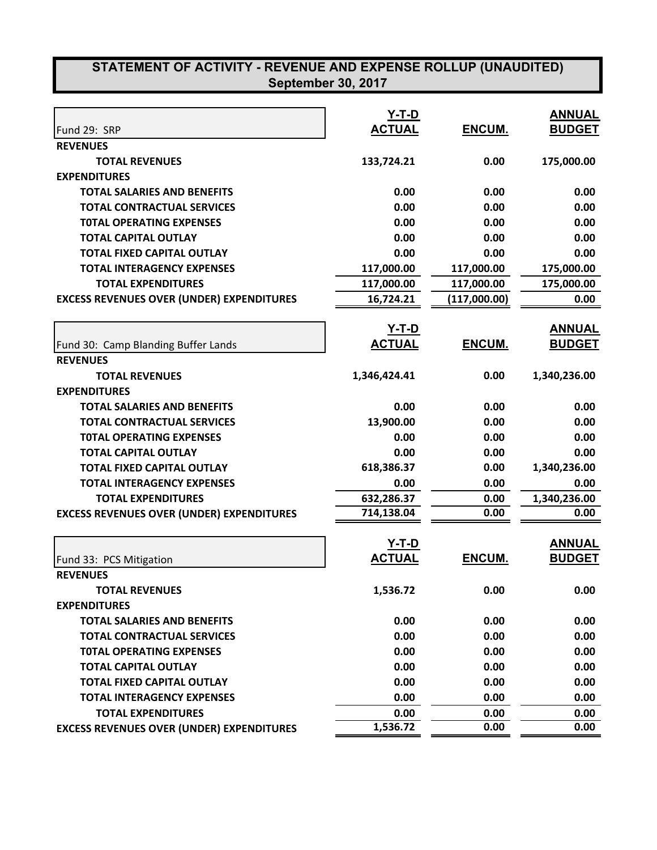|                                                  | <b>Y-T-D</b><br><b>ACTUAL</b> | ENCUM.       | <b>ANNUAL</b><br><b>BUDGET</b> |
|--------------------------------------------------|-------------------------------|--------------|--------------------------------|
| Fund 29: SRP<br><b>REVENUES</b>                  |                               |              |                                |
|                                                  |                               | 0.00         |                                |
| <b>TOTAL REVENUES</b><br><b>EXPENDITURES</b>     | 133,724.21                    |              | 175,000.00                     |
| <b>TOTAL SALARIES AND BENEFITS</b>               | 0.00                          | 0.00         | 0.00                           |
| <b>TOTAL CONTRACTUAL SERVICES</b>                | 0.00                          | 0.00         | 0.00                           |
|                                                  | 0.00                          | 0.00         | 0.00                           |
| <b>TOTAL OPERATING EXPENSES</b>                  |                               |              |                                |
| <b>TOTAL CAPITAL OUTLAY</b>                      | 0.00                          | 0.00         | 0.00                           |
| <b>TOTAL FIXED CAPITAL OUTLAY</b>                | 0.00                          | 0.00         | 0.00                           |
| <b>TOTAL INTERAGENCY EXPENSES</b>                | 117,000.00                    | 117,000.00   | 175,000.00                     |
| <b>TOTAL EXPENDITURES</b>                        | 117,000.00                    | 117,000.00   | 175,000.00                     |
| <b>EXCESS REVENUES OVER (UNDER) EXPENDITURES</b> | 16,724.21                     | (117,000.00) | 0.00                           |
|                                                  | <u>Y-T-D</u>                  |              | <b>ANNUAL</b>                  |
| Fund 30: Camp Blanding Buffer Lands              | <b>ACTUAL</b>                 | ENCUM.       | <b>BUDGET</b>                  |
| <b>REVENUES</b>                                  |                               |              |                                |
| <b>TOTAL REVENUES</b>                            | 1,346,424.41                  | 0.00         | 1,340,236.00                   |
| <b>EXPENDITURES</b>                              |                               |              |                                |
| <b>TOTAL SALARIES AND BENEFITS</b>               | 0.00                          | 0.00         | 0.00                           |
| <b>TOTAL CONTRACTUAL SERVICES</b>                | 13,900.00                     | 0.00         | 0.00                           |
| <b>TOTAL OPERATING EXPENSES</b>                  | 0.00                          | 0.00         | 0.00                           |
| <b>TOTAL CAPITAL OUTLAY</b>                      | 0.00                          | 0.00         | 0.00                           |
| <b>TOTAL FIXED CAPITAL OUTLAY</b>                | 618,386.37                    | 0.00         | 1,340,236.00                   |
| <b>TOTAL INTERAGENCY EXPENSES</b>                | 0.00                          | 0.00         | 0.00                           |
| <b>TOTAL EXPENDITURES</b>                        | 632,286.37                    | 0.00         | 1,340,236.00                   |
| <b>EXCESS REVENUES OVER (UNDER) EXPENDITURES</b> | 714,138.04                    | 0.00         | 0.00                           |
|                                                  |                               |              |                                |
|                                                  | $Y-T-D$                       |              | <b>ANNUAL</b>                  |
| Fund 33: PCS Mitigation                          | <b>ACTUAL</b>                 | ENCUM.       | <b>BUDGET</b>                  |
| <b>REVENUES</b>                                  |                               |              |                                |
| <b>TOTAL REVENUES</b>                            | 1,536.72                      | 0.00         | 0.00                           |
| <b>EXPENDITURES</b>                              |                               |              |                                |
| <b>TOTAL SALARIES AND BENEFITS</b>               | 0.00                          | 0.00         | 0.00                           |
| <b>TOTAL CONTRACTUAL SERVICES</b>                | 0.00                          | 0.00         | 0.00                           |
| <b>TOTAL OPERATING EXPENSES</b>                  | 0.00                          | 0.00         | 0.00                           |
| <b>TOTAL CAPITAL OUTLAY</b>                      | 0.00                          | 0.00         | 0.00                           |
| <b>TOTAL FIXED CAPITAL OUTLAY</b>                | 0.00                          | 0.00         | 0.00                           |
| <b>TOTAL INTERAGENCY EXPENSES</b>                | 0.00                          | 0.00         | 0.00                           |
| <b>TOTAL EXPENDITURES</b>                        | 0.00                          | 0.00         | 0.00                           |
| <b>EXCESS REVENUES OVER (UNDER) EXPENDITURES</b> | 1,536.72                      | 0.00         | 0.00                           |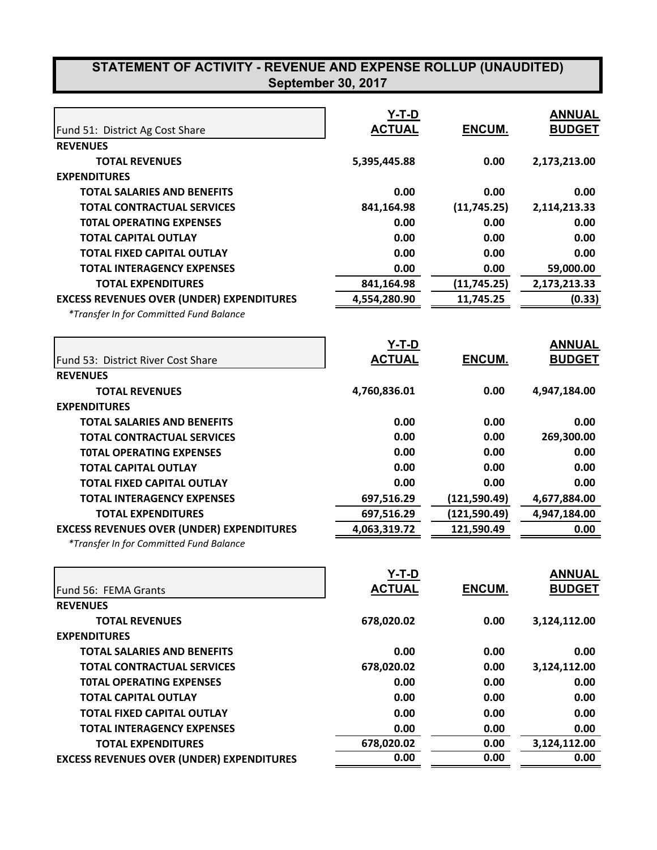|                                                  | $Y-T-D$       |               | <b>ANNUAL</b> |
|--------------------------------------------------|---------------|---------------|---------------|
| Fund 51: District Ag Cost Share                  | <b>ACTUAL</b> | ENCUM.        | <b>BUDGET</b> |
| <b>REVENUES</b>                                  |               |               |               |
| <b>TOTAL REVENUES</b>                            | 5,395,445.88  | 0.00          | 2,173,213.00  |
| <b>EXPENDITURES</b>                              |               |               |               |
| <b>TOTAL SALARIES AND BENEFITS</b>               | 0.00          | 0.00          | 0.00          |
| <b>TOTAL CONTRACTUAL SERVICES</b>                | 841,164.98    | (11, 745.25)  | 2,114,213.33  |
| <b>TOTAL OPERATING EXPENSES</b>                  | 0.00          | 0.00          | 0.00          |
| <b>TOTAL CAPITAL OUTLAY</b>                      | 0.00          | 0.00          | 0.00          |
| <b>TOTAL FIXED CAPITAL OUTLAY</b>                | 0.00          | 0.00          | 0.00          |
| <b>TOTAL INTERAGENCY EXPENSES</b>                | 0.00          | 0.00          | 59,000.00     |
| <b>TOTAL EXPENDITURES</b>                        | 841,164.98    | (11, 745.25)  | 2,173,213.33  |
| <b>EXCESS REVENUES OVER (UNDER) EXPENDITURES</b> | 4,554,280.90  | 11,745.25     | (0.33)        |
| *Transfer In for Committed Fund Balance          |               |               |               |
|                                                  | <u>Y-T-D</u>  |               | <b>ANNUAL</b> |
| Fund 53: District River Cost Share               | <b>ACTUAL</b> | ENCUM.        | <b>BUDGET</b> |
| <b>REVENUES</b>                                  |               |               |               |
| <b>TOTAL REVENUES</b>                            | 4,760,836.01  | 0.00          | 4,947,184.00  |
| <b>EXPENDITURES</b>                              |               |               |               |
| <b>TOTAL SALARIES AND BENEFITS</b>               | 0.00          | 0.00          | 0.00          |
| <b>TOTAL CONTRACTUAL SERVICES</b>                | 0.00          | 0.00          | 269,300.00    |
| <b>TOTAL OPERATING EXPENSES</b>                  | 0.00          | 0.00          | 0.00          |
| <b>TOTAL CAPITAL OUTLAY</b>                      | 0.00          | 0.00          | 0.00          |
| <b>TOTAL FIXED CAPITAL OUTLAY</b>                | 0.00          | 0.00          | 0.00          |
| <b>TOTAL INTERAGENCY EXPENSES</b>                | 697,516.29    | (121, 590.49) | 4,677,884.00  |
| <b>TOTAL EXPENDITURES</b>                        | 697,516.29    | (121, 590.49) | 4,947,184.00  |
| <b>EXCESS REVENUES OVER (UNDER) EXPENDITURES</b> | 4,063,319.72  | 121,590.49    | 0.00          |
| *Transfer In for Committed Fund Balance          |               |               |               |
|                                                  | Y-T-D         |               | <b>ANNUAL</b> |
| Fund 56: FEMA Grants                             | <b>ACTUAL</b> | ENCUM.        | <b>BUDGET</b> |
| <b>REVENUES</b>                                  |               |               |               |
| <b>TOTAL REVENUES</b>                            | 678,020.02    | 0.00          | 3,124,112.00  |
| <b>EXPENDITURES</b>                              |               |               |               |
| <b>TOTAL SALARIES AND BENEFITS</b>               | 0.00          | 0.00          | 0.00          |
| <b>TOTAL CONTRACTUAL SERVICES</b>                | 678,020.02    | 0.00          | 3,124,112.00  |
| <b>TOTAL OPERATING EXPENSES</b>                  | 0.00          | 0.00          | 0.00          |
| <b>TOTAL CAPITAL OUTLAY</b>                      | 0.00          | 0.00          | 0.00          |
| <b>TOTAL FIXED CAPITAL OUTLAY</b>                | 0.00          | 0.00          | 0.00          |
| <b>TOTAL INTERAGENCY EXPENSES</b>                | 0.00          | 0.00          | 0.00          |
| <b>TOTAL EXPENDITURES</b>                        | 678,020.02    | 0.00          | 3,124,112.00  |
| <b>EXCESS REVENUES OVER (UNDER) EXPENDITURES</b> | 0.00          | 0.00          | 0.00          |
|                                                  |               |               |               |